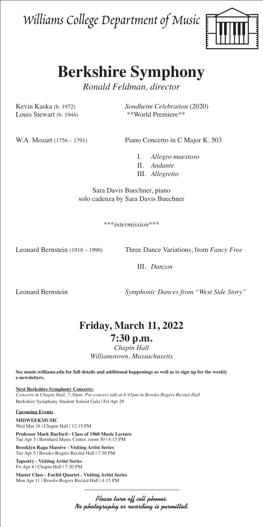Williams College Department of Music



# **Berkshire Symphony**

*Ronald Feldman, director*

Louis Stewart (b. 1944) \*\*World Premiere\*\*

Kevin Kaska (b. 1972) *Sondheim Celebration* (2020)

W.A. Mozart (1756 – 1791) Piano Concerto in C Major K. 503

I. *Allegro maestoso* II. *Andante* III. *Allegretto* 

Sara Davis Buechner, piano solo cadenza by Sara Davis Buechner

\*\*\**intermission*\*\*\*

Leonard Bernstein (1918 – 1990) Three Dance Variations, from *Fancy Free*

III. *Danzon*

Leonard Bernstein *Symphonic Dances from "West Side Story"*

## **Friday, March 11, 2022**

### **7:30 p.m.**

*Chapin Hall Williamstown, Massachusetts*

**See music.williams.edu for full details and additional happenings as well as to sign up for the weekly e-newsletters.** 

**Next Berkshire Symphony Concerts:** *Concerts in Chapin Hall, 7:30pm. Pre-concert talk at 6:45pm in Brooks-Rogers Recital Hall* Berkshire Symphony Student Soloist Gala | Fri Apr 29

#### **Upcoming Events**

**MIDWEEKMUSIC** Wed Mar 16 | Chapin Hall | 12:15 PM

**Professor Mark Burford - Class of 1960 Music Lecture** Tue Apr 5 | Bernhard Music Center, room 30 | 4:15 PM

**Brooklyn Raga Massive - Visiting Artist Series** Tue Apr 5 | Brooks-Rogers Recital Hall | 7:30 PM

**Tapestry - Visiting Artist Series** Fri Apr 8 | Chapin Hall | 7:30 PM

**Master Class - Euclid Quartet - Visiting Artist Series** Mon Apr 11 | Brooks-Rogers Recital Hall | 4:15 PM

> Please turn off cell phones. No photography or recording is permitted.